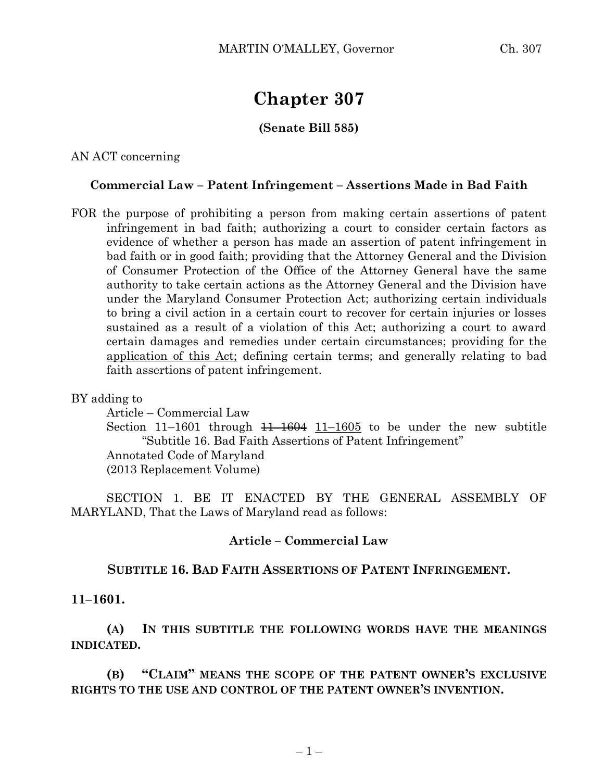# **Chapter 307**

## **(Senate Bill 585)**

AN ACT concerning

## **Commercial Law – Patent Infringement – Assertions Made in Bad Faith**

FOR the purpose of prohibiting a person from making certain assertions of patent infringement in bad faith; authorizing a court to consider certain factors as evidence of whether a person has made an assertion of patent infringement in bad faith or in good faith; providing that the Attorney General and the Division of Consumer Protection of the Office of the Attorney General have the same authority to take certain actions as the Attorney General and the Division have under the Maryland Consumer Protection Act; authorizing certain individuals to bring a civil action in a certain court to recover for certain injuries or losses sustained as a result of a violation of this Act; authorizing a court to award certain damages and remedies under certain circumstances; providing for the application of this Act; defining certain terms; and generally relating to bad faith assertions of patent infringement.

BY adding to

Article – Commercial Law

Section 11–1601 through  $\frac{11-1604}{11-1605}$  to be under the new subtitle "Subtitle 16. Bad Faith Assertions of Patent Infringement" Annotated Code of Maryland

(2013 Replacement Volume)

SECTION 1. BE IT ENACTED BY THE GENERAL ASSEMBLY OF MARYLAND, That the Laws of Maryland read as follows:

#### **Article – Commercial Law**

## **SUBTITLE 16. BAD FAITH ASSERTIONS OF PATENT INFRINGEMENT.**

#### **11–1601.**

**(A) IN THIS SUBTITLE THE FOLLOWING WORDS HAVE THE MEANINGS INDICATED.**

**(B) "CLAIM" MEANS THE SCOPE OF THE PATENT OWNER'S EXCLUSIVE RIGHTS TO THE USE AND CONTROL OF THE PATENT OWNER'S INVENTION.**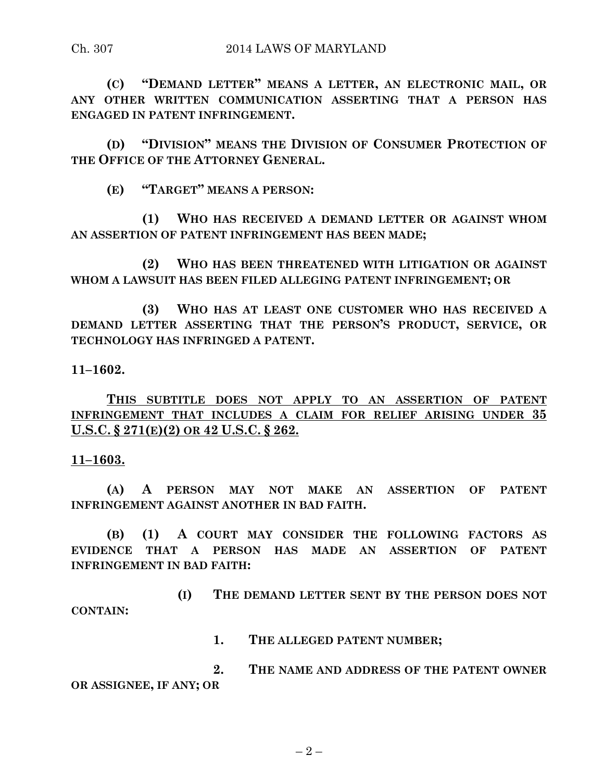**(C) "DEMAND LETTER" MEANS A LETTER, AN ELECTRONIC MAIL, OR ANY OTHER WRITTEN COMMUNICATION ASSERTING THAT A PERSON HAS ENGAGED IN PATENT INFRINGEMENT.**

**(D) "DIVISION" MEANS THE DIVISION OF CONSUMER PROTECTION OF THE OFFICE OF THE ATTORNEY GENERAL.**

**(E) "TARGET" MEANS A PERSON:**

**(1) WHO HAS RECEIVED A DEMAND LETTER OR AGAINST WHOM AN ASSERTION OF PATENT INFRINGEMENT HAS BEEN MADE;**

**(2) WHO HAS BEEN THREATENED WITH LITIGATION OR AGAINST WHOM A LAWSUIT HAS BEEN FILED ALLEGING PATENT INFRINGEMENT; OR**

**(3) WHO HAS AT LEAST ONE CUSTOMER WHO HAS RECEIVED A DEMAND LETTER ASSERTING THAT THE PERSON'S PRODUCT, SERVICE, OR TECHNOLOGY HAS INFRINGED A PATENT.**

**11–1602.**

**THIS SUBTITLE DOES NOT APPLY TO AN ASSERTION OF PATENT INFRINGEMENT THAT INCLUDES A CLAIM FOR RELIEF ARISING UNDER 35 U.S.C. § 271(E)(2) OR 42 U.S.C. § 262.**

**11–1603.**

**(A) A PERSON MAY NOT MAKE AN ASSERTION OF PATENT INFRINGEMENT AGAINST ANOTHER IN BAD FAITH.**

**(B) (1) A COURT MAY CONSIDER THE FOLLOWING FACTORS AS EVIDENCE THAT A PERSON HAS MADE AN ASSERTION OF PATENT INFRINGEMENT IN BAD FAITH:**

**(I) THE DEMAND LETTER SENT BY THE PERSON DOES NOT CONTAIN:**

**1. THE ALLEGED PATENT NUMBER;**

**2. THE NAME AND ADDRESS OF THE PATENT OWNER OR ASSIGNEE, IF ANY; OR**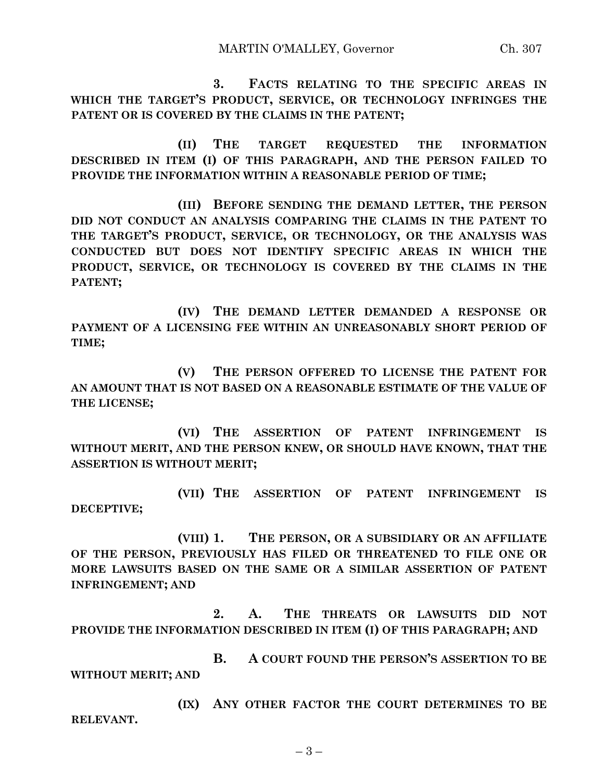**3. FACTS RELATING TO THE SPECIFIC AREAS IN WHICH THE TARGET'S PRODUCT, SERVICE, OR TECHNOLOGY INFRINGES THE PATENT OR IS COVERED BY THE CLAIMS IN THE PATENT;**

**(II) THE TARGET REQUESTED THE INFORMATION DESCRIBED IN ITEM (I) OF THIS PARAGRAPH, AND THE PERSON FAILED TO PROVIDE THE INFORMATION WITHIN A REASONABLE PERIOD OF TIME;**

**(III) BEFORE SENDING THE DEMAND LETTER, THE PERSON DID NOT CONDUCT AN ANALYSIS COMPARING THE CLAIMS IN THE PATENT TO THE TARGET'S PRODUCT, SERVICE, OR TECHNOLOGY, OR THE ANALYSIS WAS CONDUCTED BUT DOES NOT IDENTIFY SPECIFIC AREAS IN WHICH THE PRODUCT, SERVICE, OR TECHNOLOGY IS COVERED BY THE CLAIMS IN THE PATENT;**

**(IV) THE DEMAND LETTER DEMANDED A RESPONSE OR PAYMENT OF A LICENSING FEE WITHIN AN UNREASONABLY SHORT PERIOD OF TIME;**

**(V) THE PERSON OFFERED TO LICENSE THE PATENT FOR AN AMOUNT THAT IS NOT BASED ON A REASONABLE ESTIMATE OF THE VALUE OF THE LICENSE;**

**(VI) THE ASSERTION OF PATENT INFRINGEMENT IS WITHOUT MERIT, AND THE PERSON KNEW, OR SHOULD HAVE KNOWN, THAT THE ASSERTION IS WITHOUT MERIT;**

**(VII) THE ASSERTION OF PATENT INFRINGEMENT IS DECEPTIVE;**

**(VIII) 1. THE PERSON, OR A SUBSIDIARY OR AN AFFILIATE OF THE PERSON, PREVIOUSLY HAS FILED OR THREATENED TO FILE ONE OR MORE LAWSUITS BASED ON THE SAME OR A SIMILAR ASSERTION OF PATENT INFRINGEMENT; AND**

**2. A. THE THREATS OR LAWSUITS DID NOT PROVIDE THE INFORMATION DESCRIBED IN ITEM (I) OF THIS PARAGRAPH; AND**

**B. A COURT FOUND THE PERSON'S ASSERTION TO BE WITHOUT MERIT; AND**

**(IX) ANY OTHER FACTOR THE COURT DETERMINES TO BE RELEVANT.**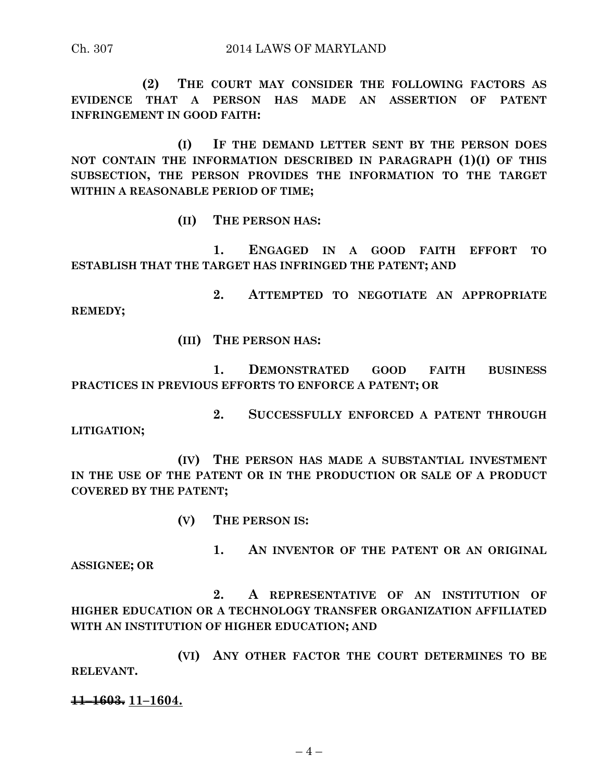**(2) THE COURT MAY CONSIDER THE FOLLOWING FACTORS AS EVIDENCE THAT A PERSON HAS MADE AN ASSERTION OF PATENT INFRINGEMENT IN GOOD FAITH:**

**(I) IF THE DEMAND LETTER SENT BY THE PERSON DOES NOT CONTAIN THE INFORMATION DESCRIBED IN PARAGRAPH (1)(I) OF THIS SUBSECTION, THE PERSON PROVIDES THE INFORMATION TO THE TARGET WITHIN A REASONABLE PERIOD OF TIME;**

**(II) THE PERSON HAS:**

**1. ENGAGED IN A GOOD FAITH EFFORT TO ESTABLISH THAT THE TARGET HAS INFRINGED THE PATENT; AND** 

**2. ATTEMPTED TO NEGOTIATE AN APPROPRIATE REMEDY;**

**(III) THE PERSON HAS:**

**1. DEMONSTRATED GOOD FAITH BUSINESS PRACTICES IN PREVIOUS EFFORTS TO ENFORCE A PATENT; OR**

**2. SUCCESSFULLY ENFORCED A PATENT THROUGH LITIGATION;**

**(IV) THE PERSON HAS MADE A SUBSTANTIAL INVESTMENT IN THE USE OF THE PATENT OR IN THE PRODUCTION OR SALE OF A PRODUCT COVERED BY THE PATENT;**

**(V) THE PERSON IS:**

**1. AN INVENTOR OF THE PATENT OR AN ORIGINAL ASSIGNEE; OR**

**2. A REPRESENTATIVE OF AN INSTITUTION OF HIGHER EDUCATION OR A TECHNOLOGY TRANSFER ORGANIZATION AFFILIATED WITH AN INSTITUTION OF HIGHER EDUCATION; AND**

**(VI) ANY OTHER FACTOR THE COURT DETERMINES TO BE RELEVANT.**

**11–1603. 11–1604.**